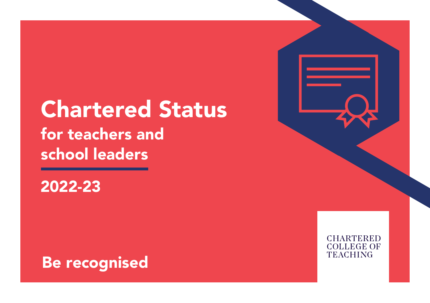# Chartered Status for teachers and school leaders

2022-23



**CHARTERED COLLEGE OF TEACHING**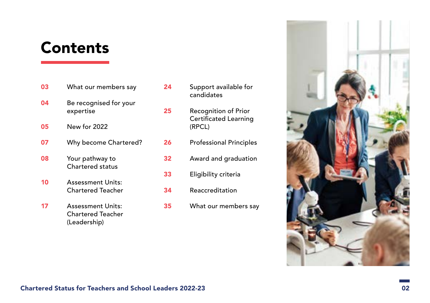## **Contents**

- **03** [What our members say](#page-2-0) 04 [Be recognised for your](#page-3-0)  [expertise](#page-3-0) 05 [New for 2022](#page-4-0) **07** [Why become Chartered?](#page-6-0) **08** Your pathway to [Chartered status](#page-7-0) 10 [Assessment Units:](#page-9-0)  [Chartered Teacher](#page-9-0) 17 [Assessment Units:](#page-16-0)  [Chartered Teacher](#page-16-0)  [\(Leadership\)](#page-16-0)
- 24 Support available for [candidates](#page-23-0) 25 [Recognition of Prior](#page-24-0)  [Certificated Learning](#page-24-0)  [\(RPCL\)](#page-24-0) 26 **Professional Principles** 32 [Award and graduation](#page-31-0) 33 [Eligibility criteria](#page-32-0) 34 [Reaccreditation](#page-33-0) 35 [What our members say](#page-34-0)

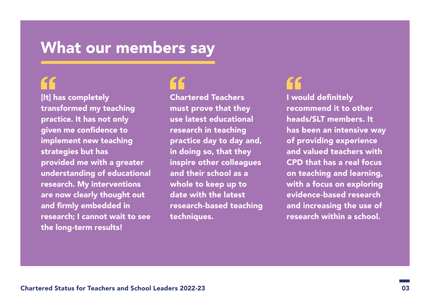## <span id="page-2-0"></span>What our members say

[It] has completely transformed my teaching practice. It has not only given me confidence to implement new teaching strategies but has provided me with a greater understanding of educational research. My interventions are now clearly thought out and firmly embedded in research; I cannot wait to see the long-term results!

Chartered Teachers must prove that they use latest educational research in teaching practice day to day and, in doing so, that they inspire other colleagues and their school as a whole to keep up to date with the latest research-based teaching techniques.

I would definitely recommend it to other heads/SLT members. It has been an intensive way of providing experience and valued teachers with CPD that has a real focus on teaching and learning, with a focus on exploring evidence-based research and increasing the use of research within a school.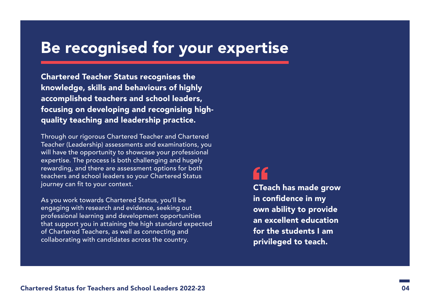# <span id="page-3-0"></span>Be recognised for your expertise

knowledge, skills and behaviours of highly accomplished teachers and school leaders, focusing on developing and recognising highquality teaching and leadership practice.

Through our rigorous Chartered Teacher and Chartered Teacher (Leadership) assessments and examinations, you will have the opportunity to showcase your professional expertise. The process is both challenging and hugely rewarding, and there are assessment options for both teachers and school leaders so your Chartered Status journey can fit to your context.

As you work towards Chartered Status, you'll be engaging with research and evidence, seeking out professional learning and development opportunities that support you in attaining the high standard expected of Chartered Teachers, as well as connecting and collaborating with candidates across the country.

CTeach has made grow in confidence in my own ability to provide an excellent education for the students I am privileged to teach.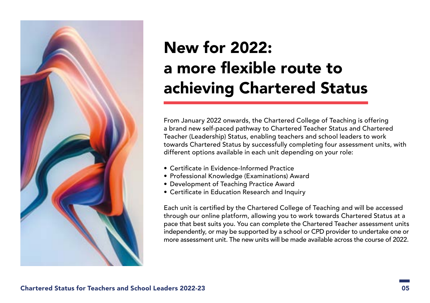<span id="page-4-0"></span>

# New for 2022: a more flexible route to achieving Chartered Status

From January 2022 onwards, the Chartered College of Teaching is offering a brand new self-paced pathway to Chartered Teacher Status and Chartered Teacher (Leadership) Status, enabling teachers and school leaders to work towards Chartered Status by successfully completing four assessment units, with different options available in each unit depending on your role:

- Certificate in Evidence-Informed Practice
- Professional Knowledge (Examinations) Award
- Development of Teaching Practice Award
- Certificate in Education Research and Inquiry

Each unit is certified by the Chartered College of Teaching and will be accessed through our online platform, allowing you to work towards Chartered Status at a pace that best suits you. You can complete the Chartered Teacher assessment units independently, or may be supported by a school or CPD provider to undertake one or more assessment unit. The new units will be made available across the course of 2022.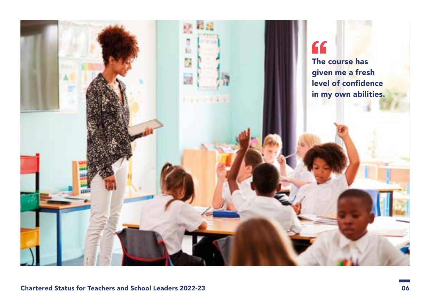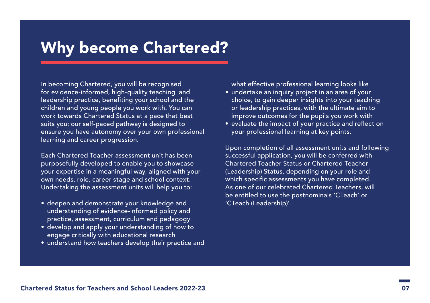## <span id="page-6-0"></span>Why become Chartered?

In becoming Chartered, you will be recognised for evidence-informed, high-quality teaching and leadership practice, benefiting your school and the children and young people you work with. You can work towards Chartered Status at a pace that best suits you; our self-paced pathway is designed to ensure you have autonomy over your own professional learning and career progression.

Each Chartered Teacher assessment unit has been purposefully developed to enable you to showcase your expertise in a meaningful way, aligned with your own needs, role, career stage and school context. Undertaking the assessment units will help you to:

- deepen and demonstrate your knowledge and understanding of evidence-informed policy and practice, assessment, curriculum and pedagogy
- develop and apply your understanding of how to engage critically with educational research
- understand how teachers develop their practice and

what effective professional learning looks like

- undertake an inquiry project in an area of your choice, to gain deeper insights into your teaching or leadership practices, with the ultimate aim to improve outcomes for the pupils you work with
- evaluate the impact of your practice and reflect on your professional learning at key points.

Upon completion of all assessment units and following successful application, you will be conferred with Chartered Teacher Status or Chartered Teacher (Leadership) Status, depending on your role and which specific assessments you have completed. As one of our celebrated Chartered Teachers, will be entitled to use the postnominals 'CTeach' or 'CTeach (Leadership)'.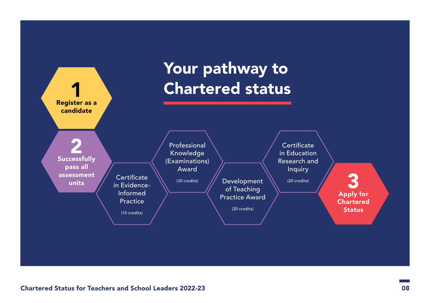<span id="page-7-0"></span>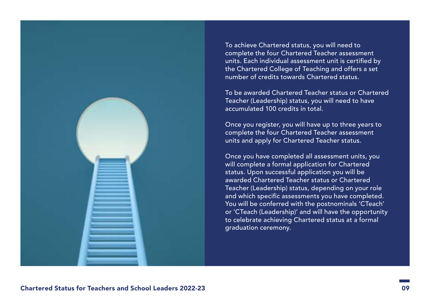

To achieve Chartered status, you will need to complete the four Chartered Teacher assessment units. Each individual assessment unit is certified by the Chartered College of Teaching and offers a set number of credits towards Chartered status.

To be awarded Chartered Teacher status or Chartered Teacher (Leadership) status, you will need to have accumulated 100 credits in total.

Once you register, you will have up to three years to complete the four Chartered Teacher assessment units and apply for Chartered Teacher status.

Once you have completed all assessment units, you will complete a formal application for Chartered status. Upon successful application you will be awarded Chartered Teacher status or Chartered Teacher (Leadership) status, depending on your role and which specific assessments you have completed. You will be conferred with the postnominals 'CTeach' or 'CTeach (Leadership)' and will have the opportunity to celebrate achieving Chartered status at a formal graduation ceremony.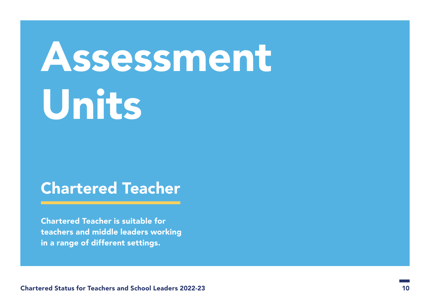# <span id="page-9-0"></span>Assessment Units

## Chartered Teacher

Chartered Teacher is suitable for teachers and middle leaders working in a range of different settings.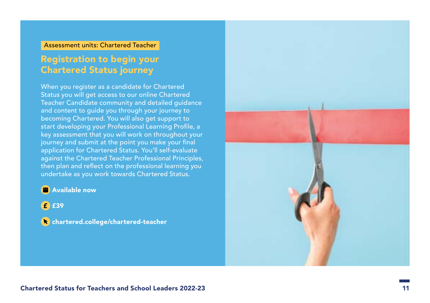#### Assessment units: Chartered Teacher

## Registration to begin your Chartered Status journey

When you register as a candidate for Chartered Status you will get access to our online Chartered Teacher Candidate community and detailed guidance and content to guide you through your journey to becoming Chartered. You will also get support to start developing your Professional Learning Profile, a key assessment that you will work on throughout your journey and submit at the point you make your final application for Chartered Status. You'll self-evaluate against the Chartered Teacher Professional Principles, then plan and reflect on the professional learning you undertake as you work towards Chartered Status.

#### **<sup>2</sup>** Available now

£<sup>39</sup>

**Confidentation** chartered-teacher

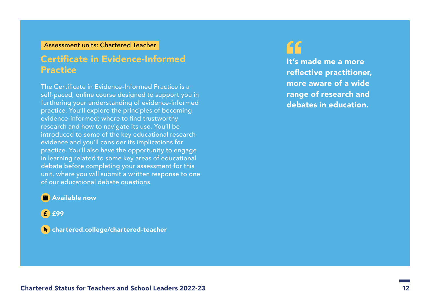#### Assessment units: Chartered Teacher

## Certificate in Evidence-Informed Practice

The Certificate in Evidence-Informed Practice is a self-paced, online course designed to support you in furthering your understanding of evidence-informed practice. You'll explore the principles of becoming evidence-informed; where to find trustworthy research and how to navigate its use. You'll be introduced to some of the key educational research evidence and you'll consider its implications for practice. You'll also have the opportunity to engage in learning related to some key areas of educational debate before completing your assessment for this unit, where you will submit a written response to one of our educational debate questions.

It's made me a more reflective practitioner, more aware of a wide range of research and debates in education.

#### **<sup>2</sup>** Available now

£ £99

**Confidentation** chartered-teacher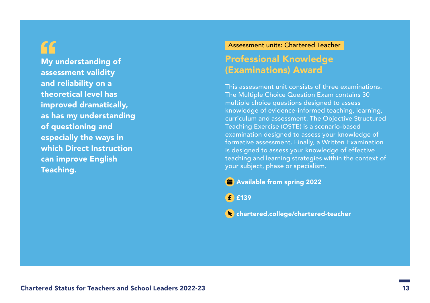GG

My understanding of assessment validity and reliability on a theoretical level has improved dramatically, as has my understanding of questioning and especially the ways in which Direct Instruction can improve English Teaching.

#### Assessment units: Chartered Teacher

#### Professional Knowledge (Examinations) Award

This assessment unit consists of three examinations. The Multiple Choice Question Exam contains 30 multiple choice questions designed to assess knowledge of evidence-informed teaching, learning, curriculum and assessment. The Objective Structured Teaching Exercise (OSTE) is a scenario-based examination designed to assess your knowledge of formative assessment. Finally, a Written Examination is designed to assess your knowledge of effective teaching and learning strategies within the context of your subject, phase or specialism.

**B** Available from spring 2022

£139

**Confidentation** chartered-teacher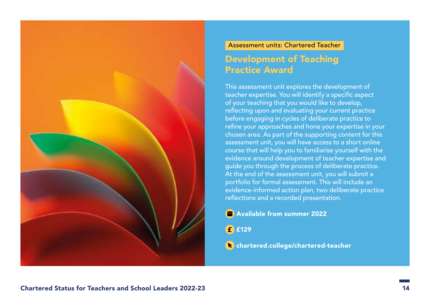

## Assessment units: Chartered Teacher Development of Teaching Practice Award

This assessment unit explores the development of teacher expertise. You will identify a specific aspect of your teaching that you would like to develop, reflecting upon and evaluating your current practice before engaging in cycles of deliberate practice to refine your approaches and hone your expertise in your chosen area. As part of the supporting content for this assessment unit, you will have access to a short online course that will help you to familiarise yourself with the evidence around development of teacher expertise and guide you through the process of deliberate practice. At the end of the assessment unit, you will submit a portfolio for formal assessment. This will include an evidence-informed action plan, two deliberate practice reflections and a recorded presentation.

**Available from summer 2022** 

£129

**C** [chartered.college/chartered-teacher](http://chartered.college/chartered-teacher)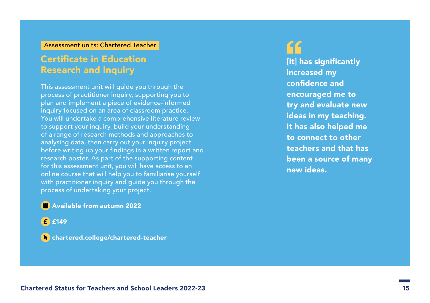#### Assessment units: Chartered Teacher

#### Certificate in Education Research and Inquiry

This assessment unit will guide you through the process of practitioner inquiry, supporting you to plan and implement a piece of evidence-informed inquiry focused on an area of classroom practice. You will undertake a comprehensive literature review to support your inquiry, build your understanding of a range of research methods and approaches to analysing data, then carry out your inquiry project before writing up your findings in a written report and research poster. As part of the supporting content for this assessment unit, you will have access to an online course that will help you to familiarise yourself with practitioner inquiry and guide you through the process of undertaking your project.

[It] has significantly increased my confidence and encouraged me to try and evaluate new ideas in my teaching. It has also helped me to connect to other teachers and that has been a source of many new ideas.

#### **P** Available from autumn 2022

£<sup>149</sup>

**C** [chartered.college/chartered-teacher](http://chartered.college/chartered-teacher)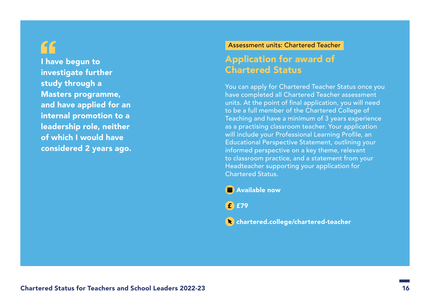## GG

I have begun to investigate further study through a Masters programme, and have applied for an internal promotion to a leadership role, neither of which I would have considered 2 years ago.

#### Assessment units: Chartered Teacher

## Application for award of Chartered Status

You can apply for Chartered Teacher Status once you have completed all Chartered Teacher assessment units. At the point of final application, you will need to be a full member of the Chartered College of Teaching and have a minimum of 3 years experience as a practising classroom teacher. Your application will include your Professional Learning Profile, an Educational Perspective Statement, outlining your informed perspective on a key theme, relevant to classroom practice, and a statement from your Headteacher supporting your application for Chartered Status.

**<sup>2</sup>** Available now

£<sup>1</sup>£79

**C** [chartered.college/chartered-teacher](http://chartered.college/chartered-teacher)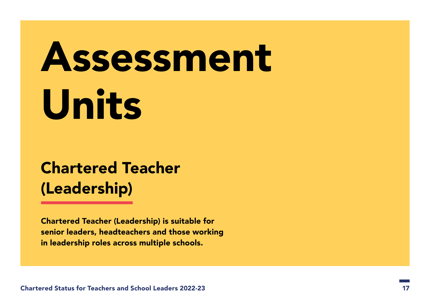# <span id="page-16-0"></span>Assessment Units

## Chartered Teacher (Leadership)

Chartered Teacher (Leadership) is suitable for senior leaders, headteachers and those working in leadership roles across multiple schools.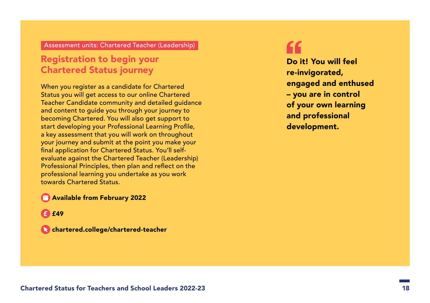#### Registration to begin your Chartered Status journey

When you register as a candidate for Chartered Status you will get access to our online Chartered Teacher Candidate community and detailed guidance and content to guide you through your journey to becoming Chartered. You will also get support to start developing your Professional Learning Profile, a key assessment that you will work on throughout your journey and submit at the point you make your final application for Chartered Status. You'll selfevaluate against the Chartered Teacher (Leadership) Professional Principles, then plan and reflect on the professional learning you undertake as you work towards Chartered Status.

#### **Available from February 2022**

£49

chartered.college/chartered-teacher

Do it! You will feel re-invigorated, engaged and enthused – you are in control of your own learning and professional development.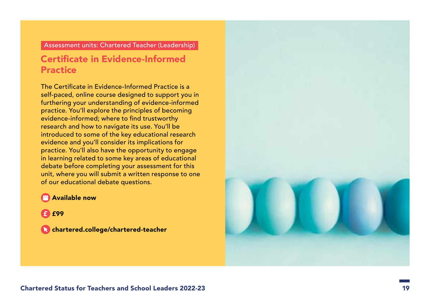## Certificate in Evidence-Informed **Practice**

The Certificate in Evidence-Informed Practice is a self-paced, online course designed to support you in furthering your understanding of evidence-informed practice. You'll explore the principles of becoming evidence-informed; where to find trustworthy research and how to navigate its use. You'll be introduced to some of the key educational research evidence and you'll consider its implications for practice. You'll also have the opportunity to engage in learning related to some key areas of educational debate before completing your assessment for this unit, where you will submit a written response to one of our educational debate questions.

#### **Available now**

£99

chartered.college/chartered-teacher

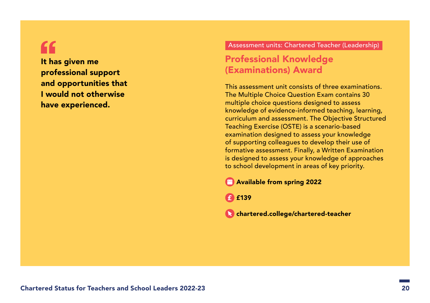"

It has given me professional support and opportunities that I would not otherwise have experienced.

#### Assessment units: Chartered Teacher (Leadership)

#### Professional Knowledge (Examinations) Award

This assessment unit consists of three examinations. The Multiple Choice Question Exam contains 30 multiple choice questions designed to assess knowledge of evidence-informed teaching, learning, curriculum and assessment. The Objective Structured Teaching Exercise (OSTE) is a scenario-based examination designed to assess your knowledge of supporting colleagues to develop their use of formative assessment. Finally, a Written Examination is designed to assess your knowledge of approaches to school development in areas of key priority.

Available from spring 2022

£139

 [chartered.college/chartered-teacher](http://chartered.college/chartered-teacher)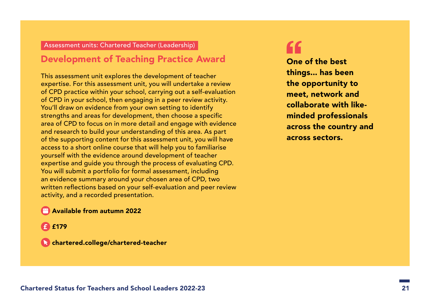#### Development of Teaching Practice Award

This assessment unit explores the development of teacher expertise. For this assessment unit, you will undertake a review of CPD practice within your school, carrying out a self-evaluation of CPD in your school, then engaging in a peer review activity. You'll draw on evidence from your own setting to identify strengths and areas for development, then choose a specific area of CPD to focus on in more detail and engage with evidence and research to build your understanding of this area. As part of the supporting content for this assessment unit, you will have access to a short online course that will help you to familiarise yourself with the evidence around development of teacher expertise and guide you through the process of evaluating CPD. You will submit a portfolio for formal assessment, including an evidence summary around your chosen area of CPD, two written reflections based on your self-evaluation and peer review activity, and a recorded presentation.

#### **Available from autumn 2022**

£<sup>179</sup>

chartered.college/chartered-teacher

One of the best things... has been the opportunity to meet, network and collaborate with likeminded professionals across the country and across sectors.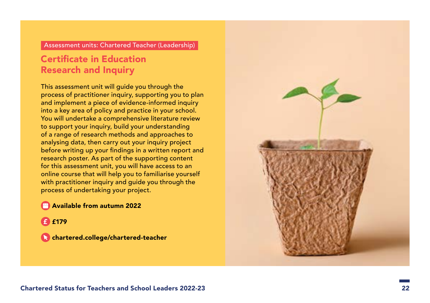### Certificate in Education Research and Inquiry

This assessment unit will guide you through the process of practitioner inquiry, supporting you to plan and implement a piece of evidence-informed inquiry into a key area of policy and practice in your school. You will undertake a comprehensive literature review to support your inquiry, build your understanding of a range of research methods and approaches to analysing data, then carry out your inquiry project before writing up your findings in a written report and research poster. As part of the supporting content for this assessment unit, you will have access to an online course that will help you to familiarise yourself with practitioner inquiry and guide you through the process of undertaking your project.

#### **Available from autumn 2022**

£179

chartered.college/chartered-teacher

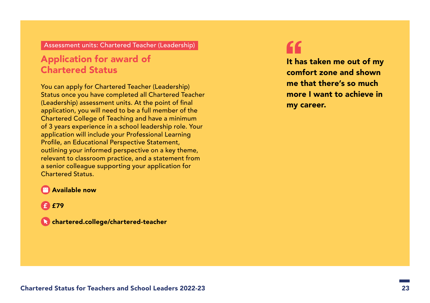### Application for award of Chartered Status

You can apply for Chartered Teacher (Leadership) Status once you have completed all Chartered Teacher (Leadership) assessment units. At the point of final application, you will need to be a full member of the Chartered College of Teaching and have a minimum of 3 years experience in a school leadership role. Your application will include your Professional Learning Profile, an Educational Perspective Statement, outlining your informed perspective on a key theme, relevant to classroom practice, and a statement from a senior colleague supporting your application for Chartered Status.

It has taken me out of my comfort zone and shown me that there's so much more I want to achieve in my career.

#### **Available now**

**£** £79

chartered.college/chartered-teacher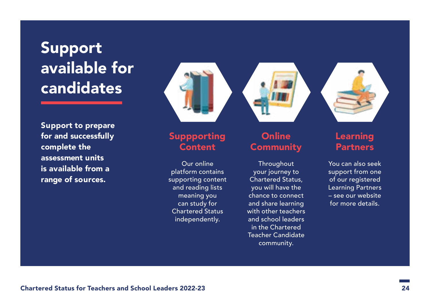## <span id="page-23-0"></span>Support available for candidates

Support to prepare for and successfully complete the assessment units is available from a range of sources.



## Suppporting Content

Our online platform contains supporting content and reading lists meaning you can study for Chartered Status independently.



### **Online Community**

**Throughout** your journey to Chartered Status, you will have the chance to connect and share learning with other teachers and school leaders in the Chartered Teacher Candidate community.



## Learning **Partners**

You can also seek support from one of our registered Learning Partners – see our website for more details.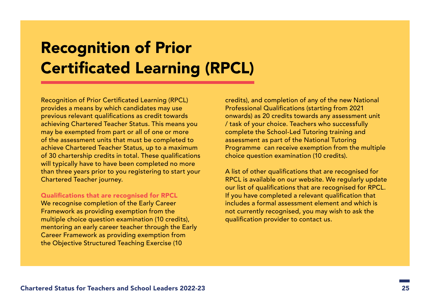# <span id="page-24-0"></span>Recognition of Prior Certificated Learning (RPCL)

Recognition of Prior Certificated Learning (RPCL) provides a means by which candidates may use previous relevant qualifications as credit towards achieving Chartered Teacher Status. This means you may be exempted from part or all of one or more of the assessment units that must be completed to achieve Chartered Teacher Status, up to a maximum of 30 chartership credits in total. These qualifications will typically have to have been completed no more than three years prior to you registering to start your Chartered Teacher journey.

#### Qualifications that are recognised for RPCL

We recognise completion of the Early Career Framework as providing exemption from the multiple choice question examination (10 credits), mentoring an early career teacher through the Early Career Framework as providing exemption from the Objective Structured Teaching Exercise (10

credits), and completion of any of the new National Professional Qualifications (starting from 2021 onwards) as 20 credits towards any assessment unit / task of your choice. Teachers who successfully complete the School-Led Tutoring training and assessment as part of the National Tutoring Programme can receive exemption from the multiple choice question examination (10 credits).

A list of other qualifications that are recognised for RPCL is available on our website. We regularly update our list of qualifications that are recognised for RPCL. If you have completed a relevant qualification that includes a formal assessment element and which is not currently recognised, you may wish to ask the qualification provider to contact us.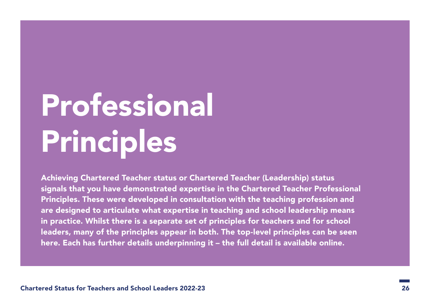# <span id="page-25-0"></span>Professional Principles

Achieving Chartered Teacher status or Chartered Teacher (Leadership) status signals that you have demonstrated expertise in the Chartered Teacher Professional Principles. These were developed in consultation with the teaching profession and are designed to articulate what expertise in teaching and school leadership means in practice. Whilst there is a separate set of principles for teachers and for school leaders, many of the principles appear in both. The top-level principles can be seen here. Each has further details underpinning it – the full detail is available online.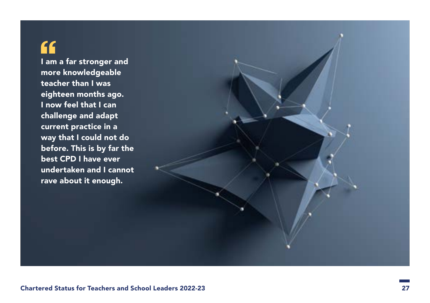## $\epsilon$

I am a far stronger and more knowledgeable teacher than I was eighteen months ago. I now feel that I can challenge and adapt current practice in a way that I could not do before. This is by far the best CPD I have ever undertaken and I cannot rave about it enough.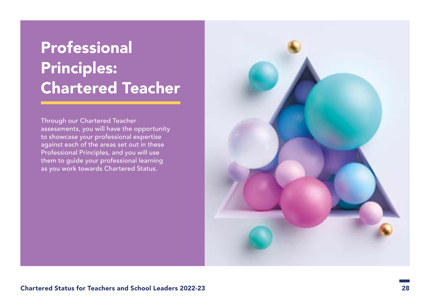# **Professional** Principles: Chartered Teacher

Through our Chartered Teacher assessments, you will have the opportunity to showcase your professional expertise against each of the areas set out in these Professional Principles, and you will use them to guide your professional learning as you work towards Chartered Status.

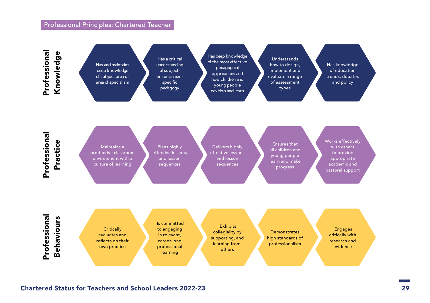#### Professional Principles: Chartered Teacher

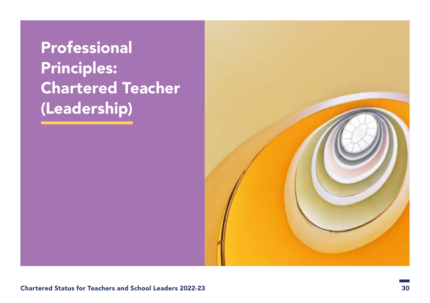# **Professional** Principles: Chartered Teacher (Leadership)

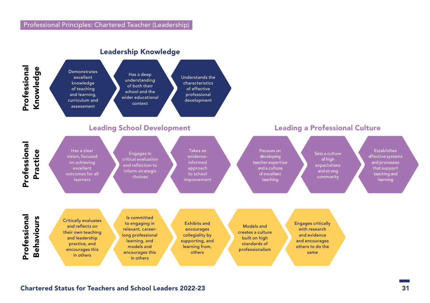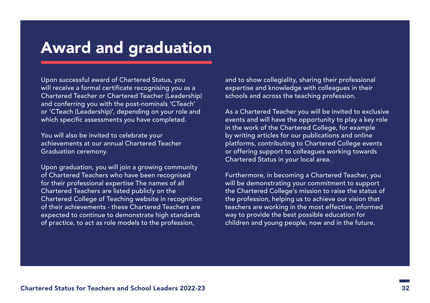## <span id="page-31-0"></span>Award and graduation

Upon successful award of Chartered Status, you will receive a formal certificate recognising you as a Chartered Teacher or Chartered Teacher (Leadership) and conferring you with the post-nominals 'CTeach' or 'CTeach (Leadership)', depending on your role and which specific assessments you have completed.

You will also be invited to celebrate your achievements at our annual Chartered Teacher Graduation ceremony.

Upon graduation, you will join a growing community of Chartered Teachers who have been recognised for their professional expertise The names of all Chartered Teachers are listed publicly on the Chartered College of Teaching website in recognition of their achievements - these Chartered Teachers are expected to continue to demonstrate high standards of practice, to act as role models to the profession,

and to show collegiality, sharing their professional expertise and knowledge with colleagues in their schools and across the teaching profession.

As a Chartered Teacher you will be invited to exclusive events and will have the opportunity to play a key role in the work of the Chartered College, for example by writing articles for our publications and online platforms, contributing to Chartered College events or offering support to colleagues working towards Chartered Status in your local area.

Furthermore, in becoming a Chartered Teacher, you will be demonstrating your commitment to support the Chartered College's mission to raise the status of the profession, helping us to achieve our vision that teachers are working in the most effective, informed way to provide the best possible education for children and young people, now and in the future.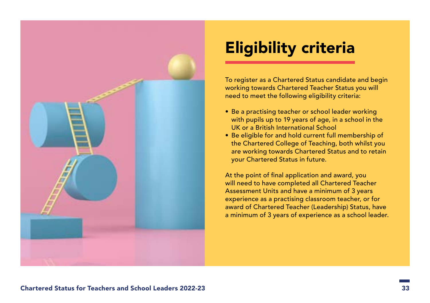<span id="page-32-0"></span>

## Eligibility criteria

To register as a Chartered Status candidate and begin working towards Chartered Teacher Status you will need to meet the following eligibility criteria:

- Be a practising teacher or school leader working with pupils up to 19 years of age, in a school in the UK or a British International School
- Be eligible for and hold current full membership of the Chartered College of Teaching, both whilst you are working towards Chartered Status and to retain your Chartered Status in future.

At the point of final application and award, you will need to have completed all Chartered Teacher Assessment Units and have a minimum of 3 years experience as a practising classroom teacher, or for award of Chartered Teacher (Leadership) Status, have a minimum of 3 years of experience as a school leader.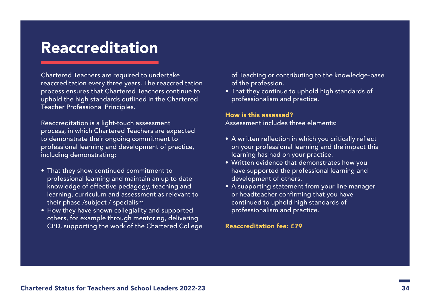## <span id="page-33-0"></span>Reaccreditation

Chartered Teachers are required to undertake reaccreditation every three years. The reaccreditation process ensures that Chartered Teachers continue to uphold the high standards outlined in the Chartered Teacher Professional Principles.

Reaccreditation is a light-touch assessment process, in which Chartered Teachers are expected to demonstrate their ongoing commitment to professional learning and development of practice, including demonstrating:

- That they show continued commitment to professional learning and maintain an up to date knowledge of effective pedagogy, teaching and learning, curriculum and assessment as relevant to their phase /subject / specialism
- How they have shown collegiality and supported others, for example through mentoring, delivering CPD, supporting the work of the Chartered College
- of Teaching or contributing to the knowledge-base of the profession.
- That they continue to uphold high standards of professionalism and practice.

#### How is this assessed?

Assessment includes three elements:

- A written reflection in which you critically reflect on your professional learning and the impact this learning has had on your practice.
- Written evidence that demonstrates how you have supported the professional learning and development of others.
- A supporting statement from your line manager or headteacher confirming that you have continued to uphold high standards of professionalism and practice.

Reaccreditation fee: £79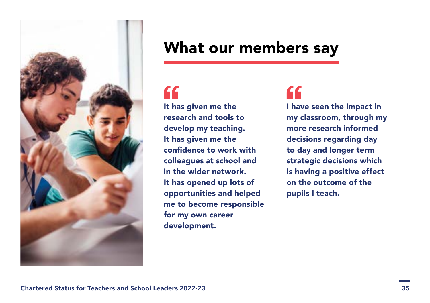<span id="page-34-0"></span>

## What our members say

# "

It has given me the research and tools to develop my teaching. It has given me the confidence to work with colleagues at school and in the wider network. It has opened up lots of opportunities and helped me to become responsible for my own career development.

## "

I have seen the impact in my classroom, through my more research informed decisions regarding day to day and longer term strategic decisions which is having a positive effect on the outcome of the pupils I teach.